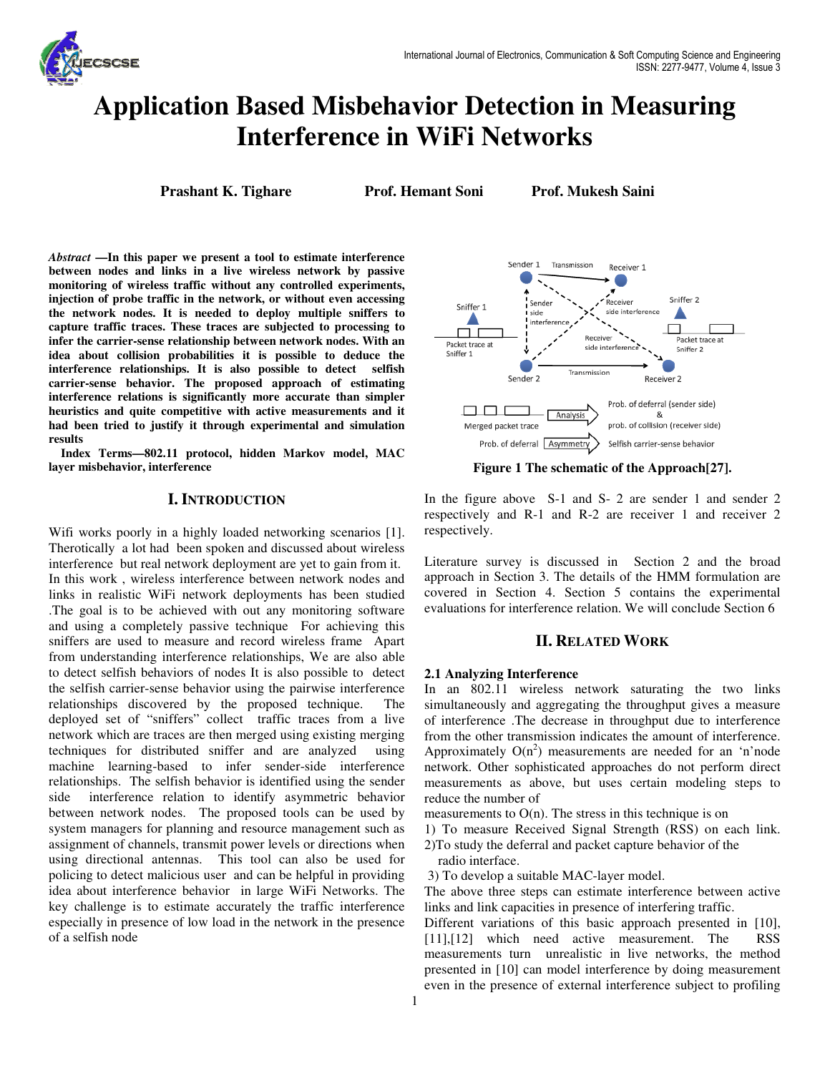

# **Application Based Misbehavior Detection in Measuring Interference in WiFi Networks**

**Prashant K. Tighare Prof. Hemant Soni Prof. Mukesh Saini**

*Abstract* **—In this paper we present a tool to estimate interference between nodes and links in a live wireless network by passive monitoring of wireless traffic without any controlled experiments, injection of probe traffic in the network, or without even accessing the network nodes. It is needed to deploy multiple sniffers to capture traffic traces. These traces are subjected to processing to infer the carrier-sense relationship between network nodes. With an idea about collision probabilities it is possible to deduce the interference relationships. It is also possible to detect selfish carrier-sense behavior. The proposed approach of estimating interference relations is significantly more accurate than simpler heuristics and quite competitive with active measurements and it had been tried to justify it through experimental and simulation results** 

**Index Terms—802.11 protocol, hidden Markov model, MAC layer misbehavior, interference** 

# **I. INTRODUCTION**

Wifi works poorly in a highly loaded networking scenarios [1]. Therotically a lot had been spoken and discussed about wireless interference but real network deployment are yet to gain from it. In this work , wireless interference between network nodes and links in realistic WiFi network deployments has been studied .The goal is to be achieved with out any monitoring software and using a completely passive technique For achieving this sniffers are used to measure and record wireless frame Apart from understanding interference relationships, We are also able to detect selfish behaviors of nodes It is also possible to detect the selfish carrier-sense behavior using the pairwise interference relationships discovered by the proposed technique. The deployed set of "sniffers" collect traffic traces from a live network which are traces are then merged using existing merging techniques for distributed sniffer and are analyzed using machine learning-based to infer sender-side interference relationships. The selfish behavior is identified using the sender side interference relation to identify asymmetric behavior between network nodes. The proposed tools can be used by system managers for planning and resource management such as assignment of channels, transmit power levels or directions when using directional antennas. This tool can also be used for policing to detect malicious user and can be helpful in providing idea about interference behavior in large WiFi Networks. The key challenge is to estimate accurately the traffic interference especially in presence of low load in the network in the presence of a selfish node



**Figure 1 The schematic of the Approach[27].** 

In the figure above S-1 and S- 2 are sender 1 and sender 2 respectively and R-1 and R-2 are receiver 1 and receiver 2 respectively.

Literature survey is discussed in Section 2 and the broad approach in Section 3. The details of the HMM formulation are covered in Section 4. Section 5 contains the experimental evaluations for interference relation. We will conclude Section 6

# **II. RELATED WORK**

# **2.1 Analyzing Interference**

In an 802.11 wireless network saturating the two links simultaneously and aggregating the throughput gives a measure of interference .The decrease in throughput due to interference from the other transmission indicates the amount of interference. Approximately  $O(n^2)$  measurements are needed for an 'n'node network. Other sophisticated approaches do not perform direct measurements as above, but uses certain modeling steps to reduce the number of

measurements to  $O(n)$ . The stress in this technique is on

1) To measure Received Signal Strength (RSS) on each link. 2)To study the deferral and packet capture behavior of the

radio interface.

3) To develop a suitable MAC-layer model.

The above three steps can estimate interference between active links and link capacities in presence of interfering traffic.

Different variations of this basic approach presented in [10], [11],[12] which need active measurement. The RSS measurements turn unrealistic in live networks, the method presented in [10] can model interference by doing measurement even in the presence of external interference subject to profiling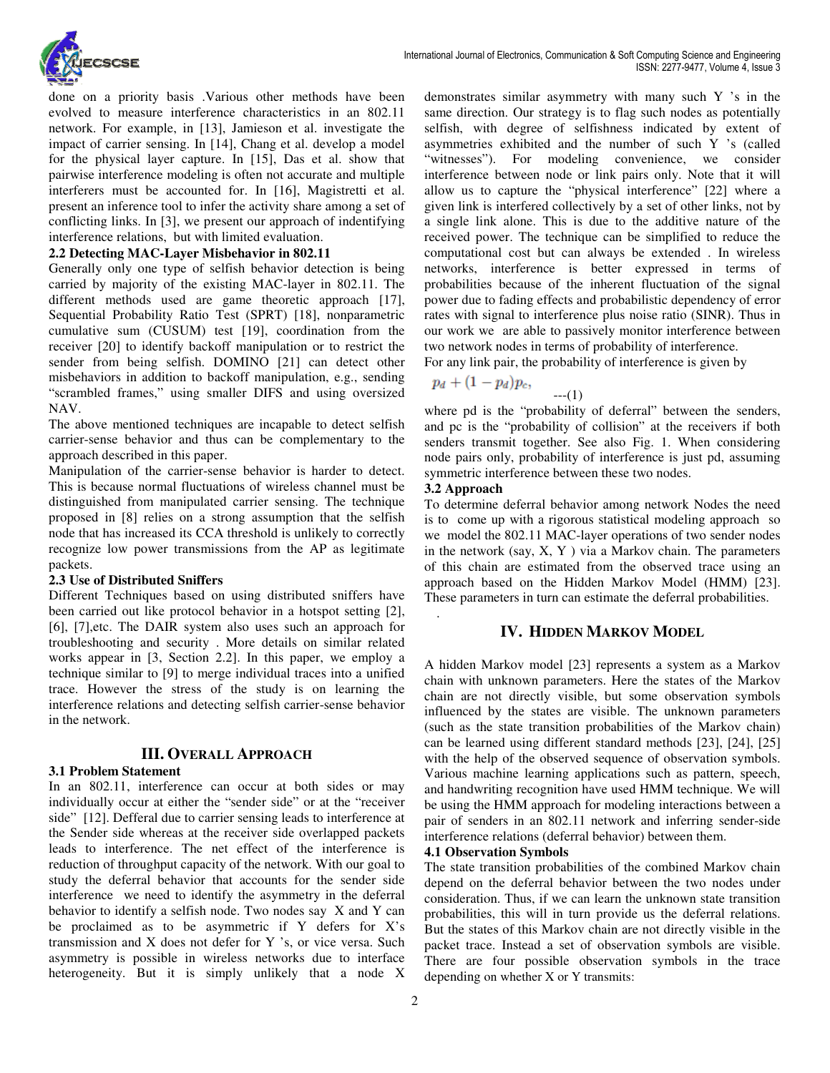

done on a priority basis .Various other methods have been evolved to measure interference characteristics in an 802.11 network. For example, in [13], Jamieson et al. investigate the impact of carrier sensing. In [14], Chang et al. develop a model for the physical layer capture. In [15], Das et al. show that pairwise interference modeling is often not accurate and multiple interferers must be accounted for. In [16], Magistretti et al. present an inference tool to infer the activity share among a set of conflicting links. In [3], we present our approach of indentifying interference relations, but with limited evaluation.

## **2.2 Detecting MAC-Layer Misbehavior in 802.11**

Generally only one type of selfish behavior detection is being carried by majority of the existing MAC-layer in 802.11. The different methods used are game theoretic approach [17], Sequential Probability Ratio Test (SPRT) [18], nonparametric cumulative sum (CUSUM) test [19], coordination from the receiver [20] to identify backoff manipulation or to restrict the sender from being selfish. DOMINO [21] can detect other misbehaviors in addition to backoff manipulation, e.g., sending "scrambled frames," using smaller DIFS and using oversized NAV.

The above mentioned techniques are incapable to detect selfish carrier-sense behavior and thus can be complementary to the approach described in this paper.

Manipulation of the carrier-sense behavior is harder to detect. This is because normal fluctuations of wireless channel must be distinguished from manipulated carrier sensing. The technique proposed in [8] relies on a strong assumption that the selfish node that has increased its CCA threshold is unlikely to correctly recognize low power transmissions from the AP as legitimate packets.

## **2.3 Use of Distributed Sniffers**

Different Techniques based on using distributed sniffers have been carried out like protocol behavior in a hotspot setting [2], [6], [7],etc. The DAIR system also uses such an approach for troubleshooting and security . More details on similar related works appear in [3, Section 2.2]. In this paper, we employ a technique similar to [9] to merge individual traces into a unified trace. However the stress of the study is on learning the interference relations and detecting selfish carrier-sense behavior in the network.

# **III. OVERALL APPROACH**

## **3.1 Problem Statement**

In an 802.11, interference can occur at both sides or may individually occur at either the "sender side" or at the "receiver side" [12]. Defferal due to carrier sensing leads to interference at the Sender side whereas at the receiver side overlapped packets leads to interference. The net effect of the interference is reduction of throughput capacity of the network. With our goal to study the deferral behavior that accounts for the sender side interference we need to identify the asymmetry in the deferral behavior to identify a selfish node. Two nodes say X and Y can be proclaimed as to be asymmetric if Y defers for X's transmission and X does not defer for Y 's, or vice versa. Such asymmetry is possible in wireless networks due to interface heterogeneity. But it is simply unlikely that a node X demonstrates similar asymmetry with many such Y 's in the same direction. Our strategy is to flag such nodes as potentially selfish, with degree of selfishness indicated by extent of asymmetries exhibited and the number of such Y 's (called "witnesses"). For modeling convenience, we consider interference between node or link pairs only. Note that it will allow us to capture the "physical interference" [22] where a given link is interfered collectively by a set of other links, not by a single link alone. This is due to the additive nature of the received power. The technique can be simplified to reduce the computational cost but can always be extended . In wireless networks, interference is better expressed in terms of probabilities because of the inherent fluctuation of the signal power due to fading effects and probabilistic dependency of error rates with signal to interference plus noise ratio (SINR). Thus in our work we are able to passively monitor interference between two network nodes in terms of probability of interference.

For any link pair, the probability of interference is given by<br> $p_i + (1 - p_i)p_i$ 

$$
p_d + (1 - p_d)p_c, \qquad \qquad \ldots (1)
$$

where pd is the "probability of deferral" between the senders, and pc is the "probability of collision" at the receivers if both senders transmit together. See also Fig. 1. When considering node pairs only, probability of interference is just pd, assuming symmetric interference between these two nodes.

## **3.2 Approach**

.

To determine deferral behavior among network Nodes the need is to come up with a rigorous statistical modeling approach so we model the 802.11 MAC-layer operations of two sender nodes in the network (say, X, Y ) via a Markov chain. The parameters of this chain are estimated from the observed trace using an approach based on the Hidden Markov Model (HMM) [23]. These parameters in turn can estimate the deferral probabilities.

## **IV. HIDDEN MARKOV MODEL**

A hidden Markov model [23] represents a system as a Markov chain with unknown parameters. Here the states of the Markov chain are not directly visible, but some observation symbols influenced by the states are visible. The unknown parameters (such as the state transition probabilities of the Markov chain) can be learned using different standard methods [23], [24], [25] with the help of the observed sequence of observation symbols. Various machine learning applications such as pattern, speech, and handwriting recognition have used HMM technique. We will be using the HMM approach for modeling interactions between a pair of senders in an 802.11 network and inferring sender-side interference relations (deferral behavior) between them.

#### **4.1 Observation Symbols**

The state transition probabilities of the combined Markov chain depend on the deferral behavior between the two nodes under consideration. Thus, if we can learn the unknown state transition probabilities, this will in turn provide us the deferral relations. But the states of this Markov chain are not directly visible in the packet trace. Instead a set of observation symbols are visible. There are four possible observation symbols in the trace depending on whether X or Y transmits: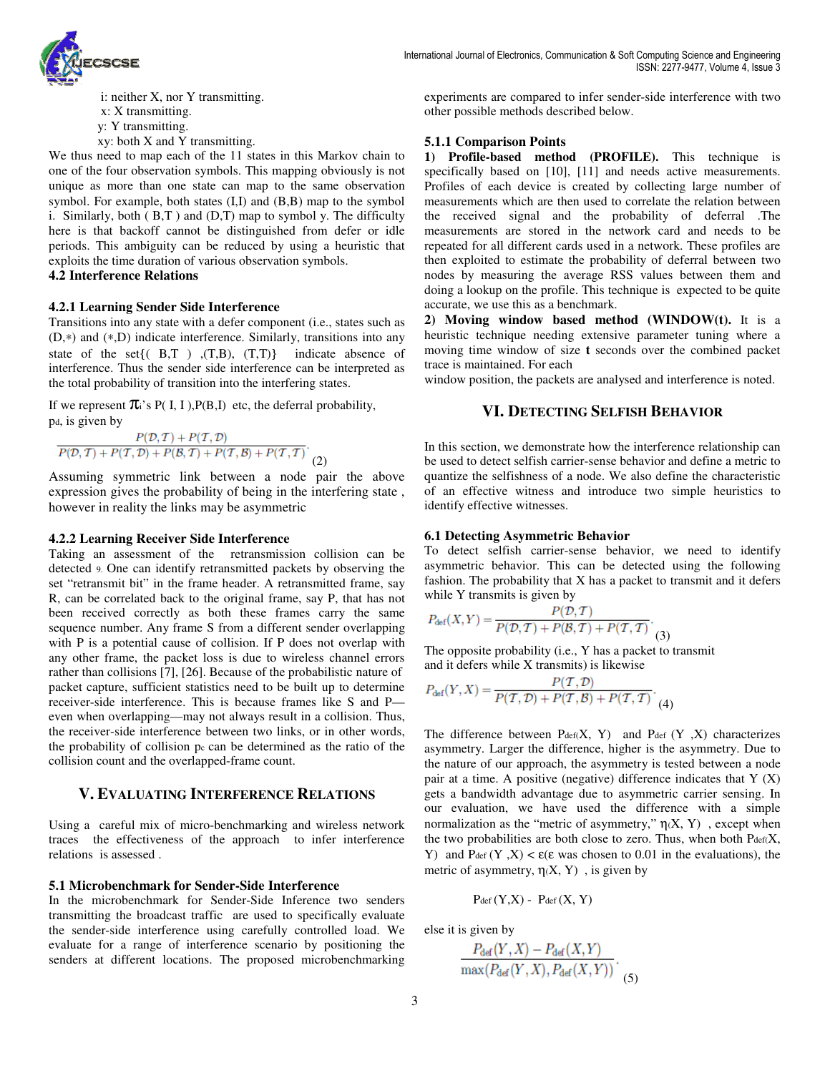

 i: neither X, nor Y transmitting. x: X transmitting. y: Y transmitting. xy: both X and Y transmitting.

We thus need to map each of the 11 states in this Markov chain to one of the four observation symbols. This mapping obviously is not unique as more than one state can map to the same observation symbol. For example, both states (Ι,Ι) and (B,B) map to the symbol i. Similarly, both  $(B,T)$  and  $(D,T)$  map to symbol y. The difficulty here is that backoff cannot be distinguished from defer or idle periods. This ambiguity can be reduced by using a heuristic that exploits the time duration of various observation symbols.

# **4.2 Interference Relations**

## **4.2.1 Learning Sender Side Interference**

Transitions into any state with a defer component (i.e., states such as (D,∗) and (∗,D) indicate interference. Similarly, transitions into any state of the set $\{(B,T)$ ,  $(T,B)$ ,  $(T,T)\}$  indicate absence of interference. Thus the sender side interference can be interpreted as the total probability of transition into the interfering states.

If we represent  $\pi$ <sup>'</sup>s P( I, I ), P(B, I) etc, the deferral probability, pd, is given by

 $P(\mathcal{D}, \mathcal{T}) + P(\mathcal{T}, \mathcal{D})$  $\frac{F(\nu, t) + F(\tau, \mathcal{D}) + P(\mathcal{D}, \mathcal{T}) + F(\tau, \mathcal{D}) + P(\mathcal{D}, \mathcal{T}) + P(\tau, \mathcal{D})}{P(\mathcal{D}, \mathcal{T}) + P(\mathcal{D}, \mathcal{T}) + P(\tau, \mathcal{D}) + P(\tau, \mathcal{T})}$ 

Assuming symmetric link between a node pair the above expression gives the probability of being in the interfering state , however in reality the links may be asymmetric

#### **4.2.2 Learning Receiver Side Interference**

Taking an assessment of the retransmission collision can be detected 9. One can identify retransmitted packets by observing the set "retransmit bit" in the frame header. A retransmitted frame, say R, can be correlated back to the original frame, say P, that has not been received correctly as both these frames carry the same sequence number. Any frame S from a different sender overlapping with P is a potential cause of collision. If P does not overlap with any other frame, the packet loss is due to wireless channel errors rather than collisions [7], [26]. Because of the probabilistic nature of packet capture, sufficient statistics need to be built up to determine receiver-side interference. This is because frames like S and P even when overlapping—may not always result in a collision. Thus, the receiver-side interference between two links, or in other words, the probability of collision pc can be determined as the ratio of the collision count and the overlapped-frame count.

# **V. EVALUATING INTERFERENCE RELATIONS**

Using a careful mix of micro-benchmarking and wireless network traces the effectiveness of the approach to infer interference relations is assessed .

## **5.1 Microbenchmark for Sender-Side Interference**

In the microbenchmark for Sender-Side Inference two senders transmitting the broadcast traffic are used to specifically evaluate the sender-side interference using carefully controlled load. We evaluate for a range of interference scenario by positioning the senders at different locations. The proposed microbenchmarking experiments are compared to infer sender-side interference with two other possible methods described below.

## **5.1.1 Comparison Points**

**1) Profile-based method (PROFILE).** This technique is specifically based on [10], [11] and needs active measurements. Profiles of each device is created by collecting large number of measurements which are then used to correlate the relation between the received signal and the probability of deferral .The measurements are stored in the network card and needs to be repeated for all different cards used in a network. These profiles are then exploited to estimate the probability of deferral between two nodes by measuring the average RSS values between them and doing a lookup on the profile. This technique is expected to be quite accurate, we use this as a benchmark.

**2) Moving window based method (WINDOW(t).** It is a heuristic technique needing extensive parameter tuning where a moving time window of size **t** seconds over the combined packet trace is maintained. For each

window position, the packets are analysed and interference is noted.

## **VI. DETECTING SELFISH BEHAVIOR**

In this section, we demonstrate how the interference relationship can be used to detect selfish carrier-sense behavior and define a metric to quantize the selfishness of a node. We also define the characteristic of an effective witness and introduce two simple heuristics to identify effective witnesses.

## **6.1 Detecting Asymmetric Behavior**

To detect selfish carrier-sense behavior, we need to identify asymmetric behavior. This can be detected using the following fashion. The probability that X has a packet to transmit and it defers while Y transmits is given by

$$
P_{\text{def}}(X,Y) = \frac{P(\mathcal{D},\mathcal{T})}{P(\mathcal{D},\mathcal{T}) + P(\mathcal{B},\mathcal{T}) + P(\mathcal{T},\mathcal{T})}.
$$
(3)

The opposite probability (i.e., Y has a packet to transmit and it defers while X transmits) is likewise

$$
P_{\text{def}}(Y, X) = \frac{P(\mathcal{T}, \mathcal{D})}{P(\mathcal{T}, \mathcal{D}) + P(\mathcal{T}, \mathcal{B}) + P(\mathcal{T}, \mathcal{T})} \cdot (4)
$$

The difference between  $P_{def}(X, Y)$  and  $P_{def}(Y, X)$  characterizes asymmetry. Larger the difference, higher is the asymmetry. Due to the nature of our approach, the asymmetry is tested between a node pair at a time. A positive (negative) difference indicates that  $Y(X)$ gets a bandwidth advantage due to asymmetric carrier sensing. In our evaluation, we have used the difference with a simple normalization as the "metric of asymmetry,"  $\eta(X, Y)$ , except when the two probabilities are both close to zero. Thus, when both  $P_{def}(X, \mathcal{L})$ Y) and  $P_{def}(Y, X) < \varepsilon(\varepsilon$  was chosen to 0.01 in the evaluations), the metric of asymmetry,  $\eta(X, Y)$ , is given by

$$
P_{def}(Y,X) - P_{def}(X,Y)
$$

else it is given by

$$
\frac{P_{\text{def}}(Y,X) - P_{\text{def}}(X,Y)}{\max(P_{\text{def}}(Y,X), P_{\text{def}}(X,Y))}.
$$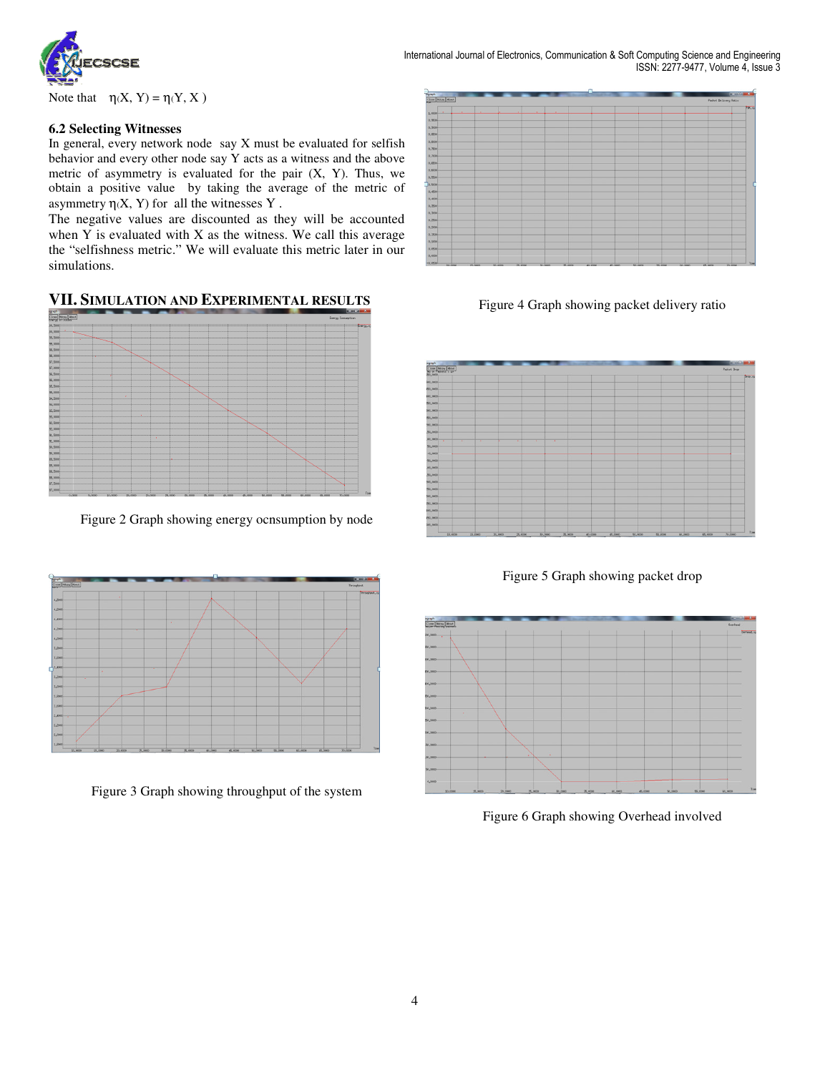

International Journal of Electronics, Communication & Soft Computing Science and Engineering ISSN: 2277-9477, Volume 4, Issue 3

Note that  $\eta(X, Y) = \eta(Y, X)$ 

## **6.2 Selecting Witnesses**

In general, every network node say X must be evaluated for selfish behavior and every other node say Y acts as a witness and the above metric of asymmetry is evaluated for the pair  $(X, Y)$ . Thus, we obtain a positive value by taking the average of the metric of asymmetry  $\eta(X, Y)$  for all the witnesses Y.

The negative values are discounted as they will be accounted when  $Y$  is evaluated with  $X$  as the witness. We call this average the "selfishness metric." We will evaluate this metric later in our simulations.

# **VII. SIMULATION AND EXPERIMENTAL RESULTS**



Figure 2 Graph showing energy ocnsumption by node



Figure 3 Graph showing throughput of the system

|                           |         |        |         |         |         |         |         |         |         |         |        |                              | <b>Constitution of the American</b> |                |
|---------------------------|---------|--------|---------|---------|---------|---------|---------|---------|---------|---------|--------|------------------------------|-------------------------------------|----------------|
| Kiraph<br>Close Hopy Rout |         |        |         |         |         |         |         |         |         |         |        | <b>Facket Belzvary Ratss</b> |                                     |                |
| 1,0000                    | ٠       |        |         |         | ×       |         |         |         |         |         |        |                              |                                     | PR.            |
| 0,3500                    |         |        |         |         |         |         |         |         |         |         |        |                              |                                     |                |
| 0,5000                    |         |        |         |         |         |         |         |         |         |         |        |                              |                                     |                |
| 0,0500                    |         |        |         |         |         |         |         |         |         |         |        |                              |                                     |                |
| 0,8000                    |         |        |         |         |         |         |         |         |         |         |        |                              |                                     |                |
| 0.7500                    |         |        |         |         |         |         |         |         |         |         |        |                              |                                     |                |
| 0.7000                    |         |        |         |         |         |         |         |         |         |         |        |                              |                                     |                |
| 0,8500                    |         |        |         |         |         |         |         |         |         |         |        |                              |                                     |                |
| 0,6000                    |         |        |         |         |         |         |         |         |         |         |        |                              |                                     |                |
| 0.5500                    |         |        |         |         |         |         |         |         |         |         |        |                              |                                     |                |
| 0.5000                    |         |        |         |         |         |         |         |         |         |         |        |                              |                                     |                |
| 0,4500                    |         |        |         |         |         |         |         |         |         |         |        |                              |                                     |                |
| 0,4000                    |         |        |         |         |         |         |         |         |         |         |        |                              |                                     |                |
| 0.3500                    |         |        |         |         |         |         |         |         |         |         |        |                              |                                     |                |
| 0,3300                    |         |        |         |         |         |         |         |         |         |         |        |                              |                                     |                |
| 0,2500                    |         |        |         |         |         |         |         |         |         |         |        |                              |                                     |                |
| 0,2000                    |         |        |         |         |         |         |         |         |         |         |        |                              |                                     |                |
| 0.1500                    |         |        |         |         |         |         |         |         |         |         |        |                              |                                     |                |
| 0.2000                    |         |        |         |         |         |         |         |         |         |         |        |                              |                                     |                |
| 0,0500<br>0,0000          |         |        |         |         |         |         |         |         |         |         |        |                              |                                     |                |
| $-0.0900$                 |         |        |         |         |         |         |         |         |         |         |        |                              |                                     | $\mathbf{r}_1$ |
|                           | 50,0000 | 15,000 | 20,0000 | 76,0000 | 35.0000 | 75.0000 | 45,0000 | 45,0000 | 50,0000 | 55,0000 | 60,000 | 65.0000                      | 70,0000                             |                |

Figure 4 Graph showing packet delivery ratio



Figure 5 Graph showing packet drop



Figure 6 Graph showing Overhead involved